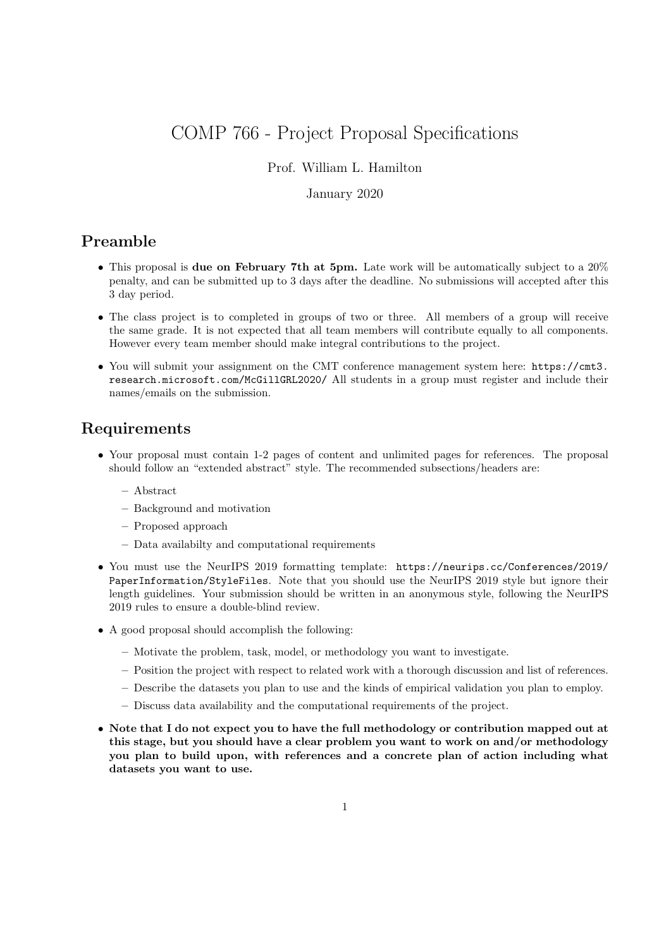# COMP 766 - Project Proposal Specifications

#### Prof. William L. Hamilton

#### January 2020

### Preamble

- This proposal is **due on February 7th at 5pm.** Late work will be automatically subject to a 20% penalty, and can be submitted up to 3 days after the deadline. No submissions will accepted after this 3 day period.
- The class project is to completed in groups of two or three. All members of a group will receive the same grade. It is not expected that all team members will contribute equally to all components. However every team member should make integral contributions to the project.
- You will submit your assignment on the CMT conference management system here: https://cmt3. research.microsoft.com/McGillGRL2020/ All students in a group must register and include their names/emails on the submission.

### Requirements

- Your proposal must contain 1-2 pages of content and unlimited pages for references. The proposal should follow an "extended abstract" style. The recommended subsections/headers are:
	- Abstract
	- Background and motivation
	- Proposed approach
	- Data availabilty and computational requirements
- You must use the NeurIPS 2019 formatting template: https://neurips.cc/Conferences/2019/ PaperInformation/StyleFiles. Note that you should use the NeurIPS 2019 style but ignore their length guidelines. Your submission should be written in an anonymous style, following the NeurIPS 2019 rules to ensure a double-blind review.
- A good proposal should accomplish the following:
	- Motivate the problem, task, model, or methodology you want to investigate.
	- Position the project with respect to related work with a thorough discussion and list of references.
	- Describe the datasets you plan to use and the kinds of empirical validation you plan to employ.
	- Discuss data availability and the computational requirements of the project.
- Note that I do not expect you to have the full methodology or contribution mapped out at this stage, but you should have a clear problem you want to work on and/or methodology you plan to build upon, with references and a concrete plan of action including what datasets you want to use.